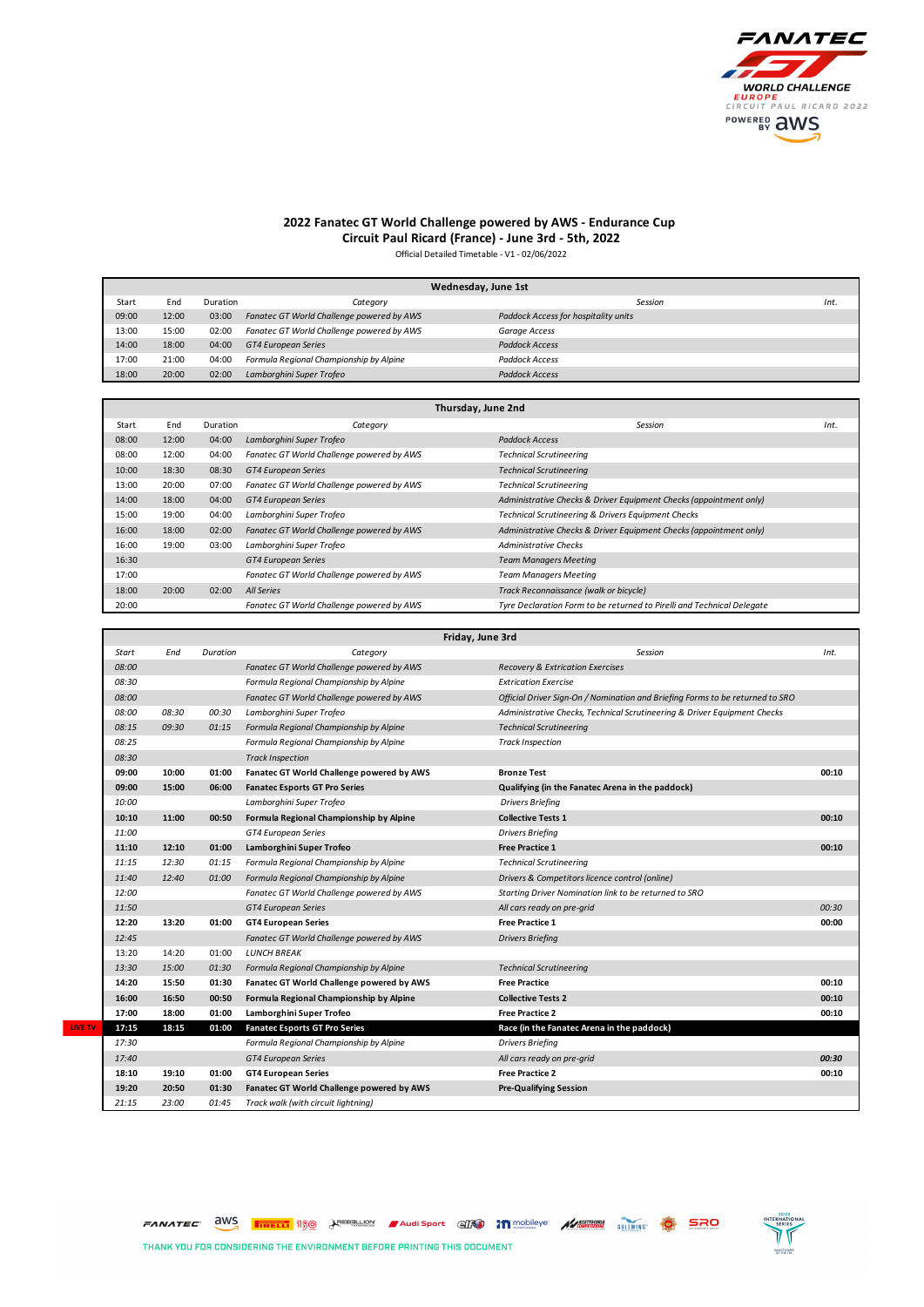

## **2022 Fanatec GT World Challenge powered by AWS - Endurance Cup Circuit Paul Ricard (France) - June 3rd - 5th, 2022**

Official Detailed Timetable - V1 - 02/06/2022

|       | Wednesday, June 1st |          |                                           |                                      |      |  |  |  |  |  |
|-------|---------------------|----------|-------------------------------------------|--------------------------------------|------|--|--|--|--|--|
| Start | End                 | Duration | Category                                  | Session                              | Int. |  |  |  |  |  |
| 09:00 | 12:00               | 03:00    | Fanatec GT World Challenge powered by AWS | Paddock Access for hospitality units |      |  |  |  |  |  |
| 13:00 | 15:00               | 02:00    | Fanatec GT World Challenge powered by AWS | Garage Access                        |      |  |  |  |  |  |
| 14:00 | 18:00               | 04:00    | <b>GT4 European Series</b>                | <b>Paddock Access</b>                |      |  |  |  |  |  |
| 17:00 | 21:00               | 04:00    | Formula Regional Championship by Alpine   | Paddock Access                       |      |  |  |  |  |  |
| 18:00 | 20:00               | 02:00    | Lamborghini Super Trofeo                  | Paddock Access                       |      |  |  |  |  |  |

|       | Thursday, June 2nd |          |                                           |                                                                        |      |  |  |  |
|-------|--------------------|----------|-------------------------------------------|------------------------------------------------------------------------|------|--|--|--|
| Start | End                | Duration | Category                                  | Session                                                                | Int. |  |  |  |
| 08:00 | 12:00              | 04:00    | Lamborghini Super Trofeo                  | Paddock Access                                                         |      |  |  |  |
| 08:00 | 12:00              | 04:00    | Fanatec GT World Challenge powered by AWS | <b>Technical Scrutineering</b>                                         |      |  |  |  |
| 10:00 | 18:30              | 08:30    | <b>GT4 European Series</b>                | <b>Technical Scrutineering</b>                                         |      |  |  |  |
| 13:00 | 20:00              | 07:00    | Fanatec GT World Challenge powered by AWS | <b>Technical Scrutineering</b>                                         |      |  |  |  |
| 14:00 | 18:00              | 04:00    | <b>GT4 European Series</b>                | Administrative Checks & Driver Equipment Checks (appointment only)     |      |  |  |  |
| 15:00 | 19:00              | 04:00    | Lamborghini Super Trofeo                  | <b>Technical Scrutineering &amp; Drivers Equipment Checks</b>          |      |  |  |  |
| 16:00 | 18:00              | 02:00    | Fanatec GT World Challenge powered by AWS | Administrative Checks & Driver Equipment Checks (appointment only)     |      |  |  |  |
| 16:00 | 19:00              | 03:00    | Lamborghini Super Trofeo                  | <b>Administrative Checks</b>                                           |      |  |  |  |
| 16:30 |                    |          | <b>GT4 European Series</b>                | <b>Team Managers Meeting</b>                                           |      |  |  |  |
| 17:00 |                    |          | Fanatec GT World Challenge powered by AWS | <b>Team Managers Meeting</b>                                           |      |  |  |  |
| 18:00 | 20:00              | 02:00    | All Series                                | Track Reconnaissance (walk or bicycle)                                 |      |  |  |  |
| 20:00 |                    |          | Fanatec GT World Challenge powered by AWS | Tyre Declaration Form to be returned to Pirelli and Technical Delegate |      |  |  |  |

|                | Friday, June 3rd |       |          |                                           |                                                                               |       |
|----------------|------------------|-------|----------|-------------------------------------------|-------------------------------------------------------------------------------|-------|
|                | Start            | End   | Duration | Category                                  | Session                                                                       | Int.  |
|                | 08:00            |       |          | Fanatec GT World Challenge powered by AWS | <b>Recovery &amp; Extrication Exercises</b>                                   |       |
|                | 08:30            |       |          | Formula Regional Championship by Alpine   | <b>Extrication Exercise</b>                                                   |       |
|                | 08:00            |       |          | Fanatec GT World Challenge powered by AWS | Official Driver Sign-On / Nomination and Briefing Forms to be returned to SRO |       |
|                | 08:00            | 08:30 | 00:30    | Lamborghini Super Trofeo                  | Administrative Checks, Technical Scrutineering & Driver Equipment Checks      |       |
|                | 08:15            | 09:30 | 01:15    | Formula Regional Championship by Alpine   | <b>Technical Scrutineering</b>                                                |       |
|                | 08:25            |       |          | Formula Regional Championship by Alpine   | <b>Track Inspection</b>                                                       |       |
|                | 08:30            |       |          | <b>Track Inspection</b>                   |                                                                               |       |
|                | 09:00            | 10:00 | 01:00    | Fanatec GT World Challenge powered by AWS | <b>Bronze Test</b>                                                            | 00:10 |
|                | 09:00            | 15:00 | 06:00    | <b>Fanatec Esports GT Pro Series</b>      | Qualifying (in the Fanatec Arena in the paddock)                              |       |
|                | 10:00            |       |          | Lamborghini Super Trofeo                  | <b>Drivers Briefing</b>                                                       |       |
|                | 10:10            | 11:00 | 00:50    | Formula Regional Championship by Alpine   | <b>Collective Tests 1</b>                                                     | 00:10 |
|                | 11:00            |       |          | <b>GT4 European Series</b>                | <b>Drivers Briefing</b>                                                       |       |
|                | 11:10            | 12:10 | 01:00    | Lamborghini Super Trofeo                  | <b>Free Practice 1</b>                                                        | 00:10 |
|                | 11:15            | 12:30 | 01:15    | Formula Regional Championship by Alpine   | <b>Technical Scrutineering</b>                                                |       |
|                | 11:40            | 12:40 | 01:00    | Formula Regional Championship by Alpine   | Drivers & Competitors licence control (online)                                |       |
|                | 12:00            |       |          | Fanatec GT World Challenge powered by AWS | Starting Driver Nomination link to be returned to SRO                         |       |
|                | 11:50            |       |          | <b>GT4 European Series</b>                | All cars ready on pre-grid                                                    | 00:30 |
|                | 12:20            | 13:20 | 01:00    | <b>GT4 European Series</b>                | <b>Free Practice 1</b>                                                        | 00:00 |
|                | 12:45            |       |          | Fanatec GT World Challenge powered by AWS | <b>Drivers Briefing</b>                                                       |       |
|                | 13:20            | 14:20 | 01:00    | <b>LUNCH BREAK</b>                        |                                                                               |       |
|                | 13:30            | 15:00 | 01:30    | Formula Regional Championship by Alpine   | <b>Technical Scrutineering</b>                                                |       |
|                | 14:20            | 15:50 | 01:30    | Fanatec GT World Challenge powered by AWS | <b>Free Practice</b>                                                          | 00:10 |
|                | 16:00            | 16:50 | 00:50    | Formula Regional Championship by Alpine   | <b>Collective Tests 2</b>                                                     | 00:10 |
|                | 17:00            | 18:00 | 01:00    | Lamborghini Super Trofeo                  | <b>Free Practice 2</b>                                                        | 00:10 |
| <b>LIVE TV</b> | 17:15            | 18:15 | 01:00    | <b>Fanatec Esports GT Pro Series</b>      | Race (in the Fanatec Arena in the paddock)                                    |       |
|                | 17:30            |       |          | Formula Regional Championship by Alpine   | <b>Drivers Briefing</b>                                                       |       |
|                | 17:40            |       |          | <b>GT4 European Series</b>                | All cars ready on pre-grid                                                    | 00:30 |
|                | 18:10            | 19:10 | 01:00    | <b>GT4 European Series</b>                | <b>Free Practice 2</b>                                                        | 00:10 |
|                | 19:20            | 20:50 | 01:30    | Fanatec GT World Challenge powered by AWS | <b>Pre-Qualifying Session</b>                                                 |       |
|                | 21:15            | 23:00 | 01:45    | Track walk (with circuit lightning)       |                                                                               |       |

FANATEC aws **TRELL** 150 **JREBRALLION** And Sport and **in** mobileye **AVISHING** SULWING

THANK YOU FOR CONSIDERING THE ENVIRONMENT BEFORE PRINTING THIS DOCUMENT

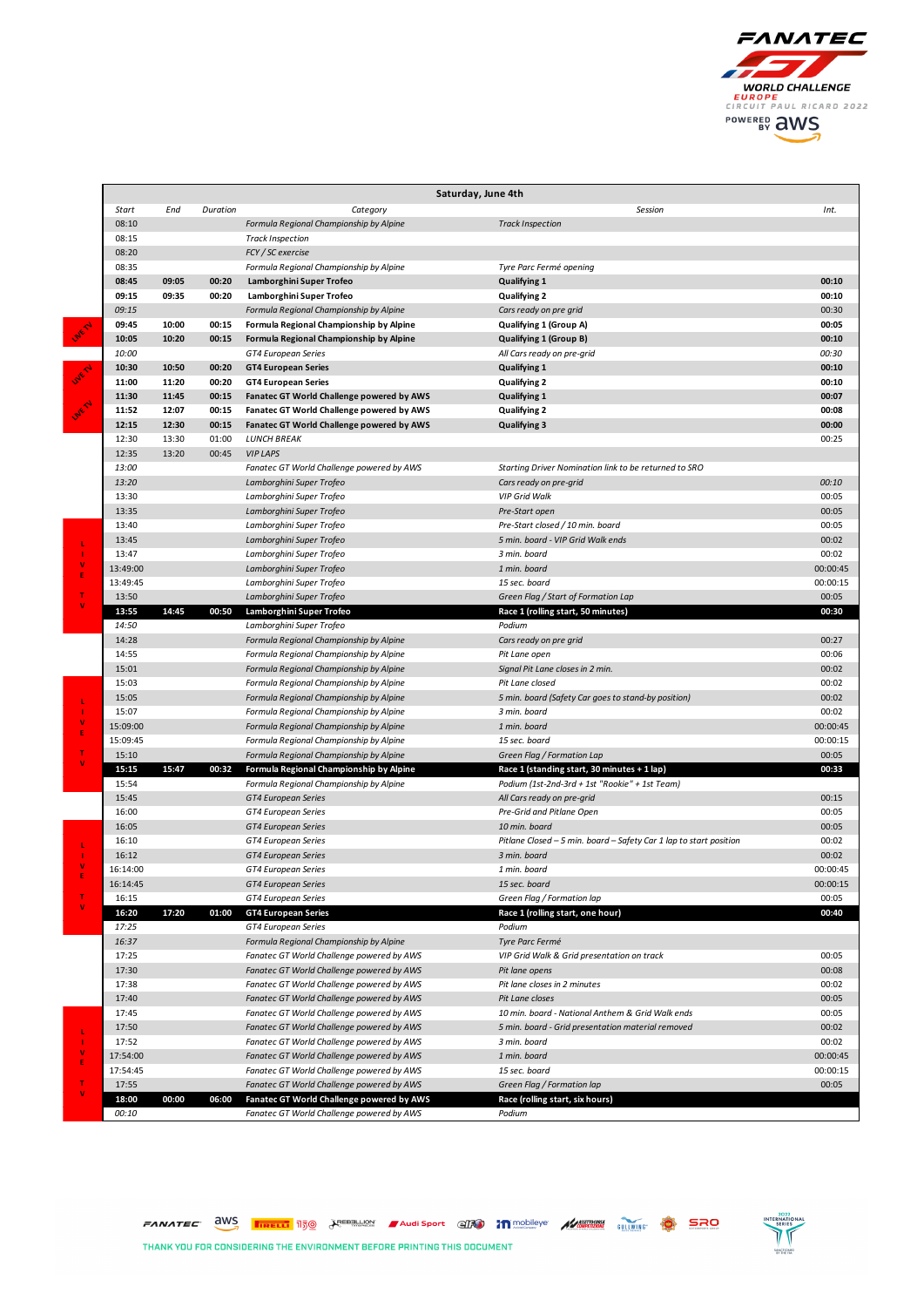

|                                  | Saturday, June 4th   |       |          |                                                                                        |                                                                                     |                   |
|----------------------------------|----------------------|-------|----------|----------------------------------------------------------------------------------------|-------------------------------------------------------------------------------------|-------------------|
|                                  | Start                | End   | Duration | Category                                                                               | Session                                                                             | Int.              |
|                                  | 08:10                |       |          | Formula Regional Championship by Alpine                                                | <b>Track Inspection</b>                                                             |                   |
|                                  | 08:15                |       |          | <b>Track Inspection</b>                                                                |                                                                                     |                   |
|                                  | 08:20                |       |          | FCY / SC exercise                                                                      |                                                                                     |                   |
|                                  | 08:35                |       |          | Formula Regional Championship by Alpine                                                | Tyre Parc Fermé opening                                                             |                   |
|                                  | 08:45                | 09:05 | 00:20    | Lamborghini Super Trofeo                                                               | <b>Qualifying 1</b>                                                                 | 00:10             |
|                                  | 09:15                | 09:35 | 00:20    | Lamborghini Super Trofeo                                                               | <b>Qualifying 2</b>                                                                 | 00:10             |
|                                  | 09:15                |       |          | Formula Regional Championship by Alpine                                                | Cars ready on pre grid                                                              | 00:30             |
| $\mathcal{L}_{\mathcal{F}}$<br>♦ | 09:45                | 10:00 | 00:15    | Formula Regional Championship by Alpine                                                | Qualifying 1 (Group A)                                                              | 00:05             |
|                                  | 10:05                | 10:20 | 00:15    | Formula Regional Championship by Alpine                                                | <b>Qualifying 1 (Group B)</b>                                                       | 00:10             |
|                                  | 10:00<br>10:30       | 10:50 | 00:20    | GT4 European Series                                                                    | All Cars ready on pre-grid                                                          | 00:30<br>00:10    |
| <b>UNCH</b>                      | 11:00                | 11:20 | 00:20    | <b>GT4 European Series</b><br><b>GT4 European Series</b>                               | <b>Qualifying 1</b><br><b>Qualifying 2</b>                                          | 00:10             |
|                                  | 11:30                | 11:45 | 00:15    | Fanatec GT World Challenge powered by AWS                                              | <b>Qualifying 1</b>                                                                 | 00:07             |
|                                  | 11:52                | 12:07 | 00:15    | Fanatec GT World Challenge powered by AWS                                              | Qualifying 2                                                                        | 00:08             |
|                                  | 12:15                | 12:30 | 00:15    | Fanatec GT World Challenge powered by AWS                                              | <b>Qualifying 3</b>                                                                 | 00:00             |
|                                  | 12:30                | 13:30 | 01:00    | <b>LUNCH BREAK</b>                                                                     |                                                                                     | 00:25             |
|                                  | 12:35                | 13:20 | 00:45    | <b>VIP LAPS</b>                                                                        |                                                                                     |                   |
|                                  | 13:00                |       |          | Fanatec GT World Challenge powered by AWS                                              | Starting Driver Nomination link to be returned to SRO                               |                   |
|                                  | 13:20                |       |          | Lamborghini Super Trofeo                                                               | Cars ready on pre-grid                                                              | 00:10             |
|                                  | 13:30                |       |          | Lamborghini Super Trofeo                                                               | <b>VIP Grid Walk</b>                                                                | 00:05             |
|                                  | 13:35                |       |          | Lamborghini Super Trofeo                                                               | Pre-Start open                                                                      | 00:05             |
|                                  | 13:40                |       |          | Lamborghini Super Trofeo                                                               | Pre-Start closed / 10 min. board                                                    | 00:05             |
| L                                | 13:45                |       |          | Lamborghini Super Trofeo                                                               | 5 min. board - VIP Grid Walk ends                                                   | 00:02             |
| T<br>۷                           | 13:47                |       |          | Lamborghini Super Trofeo                                                               | 3 min. board                                                                        | 00:02             |
| E                                | 13:49:00             |       |          | Lamborghini Super Trofeo                                                               | 1 min. board                                                                        | 00:00:45          |
|                                  | 13:49:45             |       |          | Lamborghini Super Trofeo                                                               | 15 sec. board                                                                       | 00:00:15          |
| V                                | 13:50<br>13:55       | 14:45 | 00:50    | Lamborghini Super Trofeo<br>Lamborghini Super Trofeo                                   | Green Flag / Start of Formation Lap<br>Race 1 (rolling start, 50 minutes)           | 00:05<br>00:30    |
|                                  | 14:50                |       |          | Lamborghini Super Trofeo                                                               | Podium                                                                              |                   |
|                                  | 14:28                |       |          | Formula Regional Championship by Alpine                                                | Cars ready on pre grid                                                              | 00:27             |
|                                  | 14:55                |       |          | Formula Regional Championship by Alpine                                                | Pit Lane open                                                                       | 00:06             |
|                                  | 15:01                |       |          | Formula Regional Championship by Alpine                                                | Signal Pit Lane closes in 2 min.                                                    | 00:02             |
|                                  | 15:03                |       |          | Formula Regional Championship by Alpine                                                | Pit Lane closed                                                                     | 00:02             |
|                                  | 15:05                |       |          | Formula Regional Championship by Alpine                                                | 5 min. board (Safety Car goes to stand-by position)                                 | 00:02             |
| ï                                | 15:07                |       |          | Formula Regional Championship by Alpine                                                | 3 min. board                                                                        | 00:02             |
| ٧<br>E                           | 15:09:00             |       |          | Formula Regional Championship by Alpine                                                | 1 min. board                                                                        | 00:00:45          |
|                                  | 15:09:45             |       |          | Formula Regional Championship by Alpine                                                | 15 sec. board                                                                       | 00:00:15          |
|                                  | 15:10                |       |          | Formula Regional Championship by Alpine                                                | Green Flag / Formation Lap                                                          | 00:05             |
|                                  | 15:15                | 15:47 | 00:32    | Formula Regional Championship by Alpine                                                | Race 1 (standing start, 30 minutes + 1 lap)                                         | 00:33             |
|                                  | 15:54                |       |          | Formula Regional Championship by Alpine                                                | Podium (1st-2nd-3rd + 1st "Rookie" + 1st Team)                                      |                   |
|                                  | 15:45                |       |          | <b>GT4 European Series</b>                                                             | All Cars ready on pre-grid                                                          | 00:15             |
|                                  | 16:00                |       |          | GT4 European Series                                                                    | Pre-Grid and Pitlane Open                                                           | 00:05             |
|                                  | 16:05<br>16:10       |       |          | <b>GT4 European Series</b><br>GT4 European Series                                      | 10 min. board<br>Pitlane Closed - 5 min. board - Safety Car 1 lap to start position | 00:05<br>00:02    |
|                                  | 16:12                |       |          | <b>GT4 European Series</b>                                                             | 3 min. board                                                                        | 00:02             |
| ٧                                | 16:14:00             |       |          | <b>GT4 European Series</b>                                                             | 1 min. board                                                                        | 00:00:45          |
|                                  | 16:14:45             |       |          | GT4 European Series                                                                    | 15 sec. board                                                                       | 00:00:15          |
|                                  | 16:15                |       |          | GT4 European Series                                                                    | Green Flag / Formation lap                                                          | 00:05             |
| ٧                                | 16:20                | 17:20 | 01:00    | <b>GT4 European Series</b>                                                             | Race 1 (rolling start, one hour)                                                    | 00:40             |
|                                  | 17:25                |       |          | GT4 European Series                                                                    | Podium                                                                              |                   |
|                                  | 16:37                |       |          | Formula Regional Championship by Alpine                                                | Tyre Parc Fermé                                                                     |                   |
|                                  | 17:25                |       |          | Fanatec GT World Challenge powered by AWS                                              | VIP Grid Walk & Grid presentation on track                                          | 00:05             |
|                                  | 17:30                |       |          | Fanatec GT World Challenge powered by AWS                                              | Pit lane opens                                                                      | 00:08             |
|                                  | 17:38                |       |          | Fanatec GT World Challenge powered by AWS                                              | Pit lane closes in 2 minutes                                                        | 00:02             |
|                                  | 17:40                |       |          | Fanatec GT World Challenge powered by AWS                                              | Pit Lane closes                                                                     | 00:05             |
|                                  | 17:45                |       |          | Fanatec GT World Challenge powered by AWS                                              | 10 min. board - National Anthem & Grid Walk ends                                    | 00:05             |
|                                  | 17:50                |       |          | Fanatec GT World Challenge powered by AWS                                              | 5 min. board - Grid presentation material removed                                   | 00:02             |
| ı<br>۷                           | 17:52                |       |          | Fanatec GT World Challenge powered by AWS<br>Fanatec GT World Challenge powered by AWS | 3 min. board                                                                        | 00:02<br>00:00:45 |
| E                                | 17:54:00<br>17:54:45 |       |          | Fanatec GT World Challenge powered by AWS                                              | 1 min. board<br>15 sec. board                                                       | 00:00:15          |
| т                                | 17:55                |       |          | Fanatec GT World Challenge powered by AWS                                              | Green Flag / Formation lap                                                          | 00:05             |
| v                                | 18:00                | 00:00 | 06:00    | Fanatec GT World Challenge powered by AWS                                              | Race (rolling start, six hours)                                                     |                   |
|                                  | 00:10                |       |          | Fanatec GT World Challenge powered by AWS                                              | Podium                                                                              |                   |
|                                  |                      |       |          |                                                                                        |                                                                                     |                   |

FANATEC aws **TRELL** 150 **JAREBULLION** And Sport and **in** mobileye **All and All and SRO** 

THANK YOU FOR CONSIDERING THE ENVIRONMENT BEFORE PRINTING THIS DOCUMENT